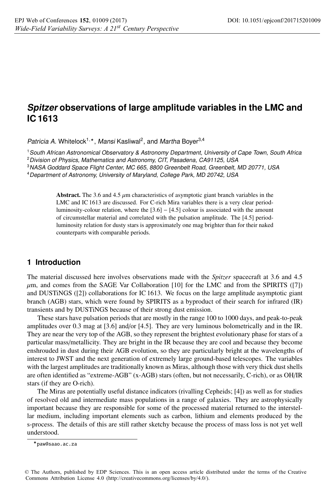# **Spitzer observations of large amplitude variables in the LMC and IC 1613**

Patricia A. Whitelock<sup>1,\*</sup>, Mansi Kasliwal<sup>2</sup>, and Martha Boyer<sup>3,4</sup>

<sup>1</sup>South African Astronomical Observatory & Astronomy Department, University of Cape Town, South Africa

<sup>2</sup> Division of Physics, Mathematics and Astronomy, CIT, Pasadena, CA91125, USA

<sup>3</sup>NASA Goddard Space Flight Center, MC 665, 8800 Greenbelt Road, Greenbelt, MD 20771, USA

<sup>4</sup>Department of Astronomy, University of Maryland, College Park, MD 20742, USA

Abstract. The 3.6 and 4.5  $\mu$ m characteristics of asymptotic giant branch variables in the LMC and IC 1613 are discussed. For C-rich Mira variables there is a very clear periodluminosity-colour relation, where the [3.6] − [4.5] colour is associated with the amount of circumstellar material and correlated with the pulsation amplitude. The [4.5] periodluminosity relation for dusty stars is approximately one mag brighter than for their naked counterparts with comparable periods.

## **1 Introduction**

The material discussed here involves observations made with the *Spitzer* spacecraft at 3.6 and 4.5  $\mu$ m, and comes from the SAGE Var Collaboration [10] for the LMC and from the SPIRITS ([7]) and DUSTiNGS ([2]) collaborations for IC 1613. We focus on the large amplitude asymptotic giant branch (AGB) stars, which were found by SPIRITS as a byproduct of their search for infrared (IR) transients and by DUSTiNGS because of their strong dust emission.

These stars have pulsation periods that are mostly in the range 100 to 1000 days, and peak-to-peak amplitudes over 0.3 mag at [3.6] and/or [4.5]. They are very luminous bolometrically and in the IR. They are near the very top of the AGB, so they represent the brightest evolutionary phase for stars of a particular mass/metallicity. They are bright in the IR because they are cool and because they become enshrouded in dust during their AGB evolution, so they are particularly bright at the wavelengths of interest to JWST and the next generation of extremely large ground-based telescopes. The variables with the largest amplitudes are traditionally known as Miras, although those with very thick dust shells are often identified as "extreme-AGB" (x-AGB) stars (often, but not necessarily, C-rich), or as OH/IR stars (if they are O-rich).

The Miras are potentially useful distance indicators (rivalling Cepheids; [4]) as well as for studies of resolved old and intermediate mass populations in a range of galaxies. They are astrophysically important because they are responsible for some of the processed material returned to the interstellar medium, including important elements such as carbon, lithium and elements produced by the s-process. The details of this are still rather sketchy because the process of mass loss is not yet well understood.

<sup>-</sup>paw@saao.ac.za

<sup>©</sup> The Authors, published by EDP Sciences. This is an open access article distributed under the terms of the Creative Commons Attribution License 4.0 [\(http://creativecommons.org/licenses/by/4.0/\)](http://creativecommons.org/licenses/by/4.0/).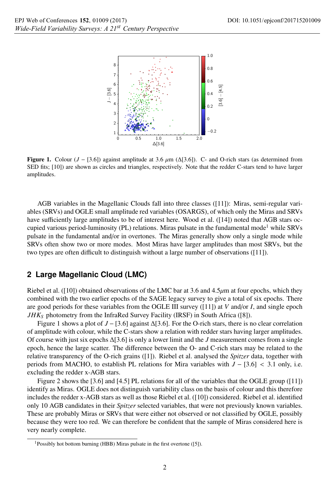

Figure 1. Colour ( $J - [3.6]$ ) against amplitude at 3.6  $\mu$ m ( $\Delta$ [3.6]). C- and O-rich stars (as determined from SED fits; [10]) are shown as circles and triangles, respectively. Note that the redder C-stars tend to have larger amplitudes.

AGB variables in the Magellanic Clouds fall into three classes ([11]): Miras, semi-regular variables (SRVs) and OGLE small amplitude red variables (OSARGS), of which only the Miras and SRVs have sufficiently large amplitudes to be of interest here. Wood et al. ([14]) noted that AGB stars occupied various period-luminosity (PL) relations. Miras pulsate in the fundamental mode<sup>1</sup> while SRVs pulsate in the fundamental and/or in overtones. The Miras generally show only a single mode while SRVs often show two or more modes. Most Miras have larger amplitudes than most SRVs, but the two types are often difficult to distinguish without a large number of observations ([11]).

### **2 Large Magellanic Cloud (LMC)**

Riebel et al. ([10]) obtained observations of the LMC bar at 3.6 and 4.5 $\mu$ m at four epochs, which they combined with the two earlier epochs of the SAGE legacy survey to give a total of six epochs. There are good periods for these variables from the OGLE III survey ([11]) at *V* and/or *I*, and single epoch *JHKS* photometry from the InfraRed Survey Facility (IRSF) in South Africa ([8]).

Figure 1 shows a plot of *J* − [3.6] against Δ[3.6]. For the O-rich stars, there is no clear correlation of amplitude with colour, while the C-stars show a relation with redder stars having larger amplitudes. Of course with just six epochs Δ[3.6] is only a lower limit and the *J* measurement comes from a single epoch, hence the large scatter. The difference between the O- and C-rich stars may be related to the relative transparency of the O-rich grains ([1]). Riebel et al. analysed the *Spitzer* data, together with periods from MACHO, to establish PL relations for Mira variables with *J* − [3.6] < 3.1 only, i.e. excluding the redder x-AGB stars.

Figure 2 shows the [3.6] and [4.5] PL relations for all of the variables that the OGLE group ([11]) identify as Miras. OGLE does not distinguish variability class on the basis of colour and this therefore includes the redder x-AGB stars as well as those Riebel et al. ([10]) considered. Riebel et al. identified only 10 AGB candidates in their *Spitzer* selected variables, that were not previously known variables. These are probably Miras or SRVs that were either not observed or not classified by OGLE, possibly because they were too red. We can therefore be confident that the sample of Miras considered here is very nearly complete.

<sup>1</sup>Possibly hot bottom burning (HBB) Miras pulsate in the first overtone ([5]).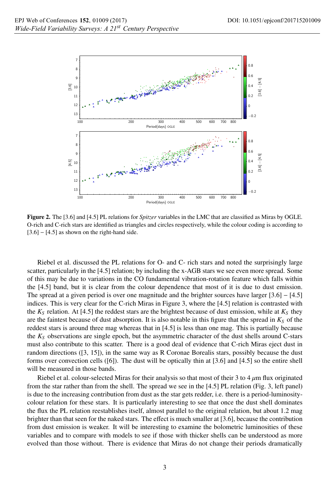

Figure 2. The [3.6] and [4.5] PL relations for *Spitzer* variables in the LMC that are classified as Miras by OGLE. O-rich and C-rich stars are identified as triangles and circles respectively, while the colour coding is according to  $[3.6]$  –  $[4.5]$  as shown on the right-hand side.

Riebel et al. discussed the PL relations for O- and C- rich stars and noted the surprisingly large scatter, particularly in the [4.5] relation; by including the x-AGB stars we see even more spread. Some of this may be due to variations in the CO fundamental vibration-rotation feature which falls within the [4.5] band, but it is clear from the colour dependence that most of it is due to dust emission. The spread at a given period is over one magnitude and the brighter sources have larger [3.6] − [4.5] indices. This is very clear for the C-rich Miras in Figure 3, where the [4.5] relation is contrasted with the  $K_S$  relation. At [4.5] the reddest stars are the brightest because of dust emission, while at  $K_S$  they are the faintest because of dust absorption. It is also notable in this figure that the spread in  $K<sub>S</sub>$  of the reddest stars is around three mag whereas that in [4.5] is less than one mag. This is partially because the *KS* observations are single epoch, but the asymmetric character of the dust shells around C-stars must also contribute to this scatter. There is a good deal of evidence that C-rich Miras eject dust in random directions ([3, 15]), in the same way as R Coronae Borealis stars, possibly because the dust forms over convection cells ([6]). The dust will be optically thin at [3.6] and [4.5] so the entire shell will be measured in those bands.

Riebel et al. colour-selected Miras for their analysis so that most of their 3 to 4  $\mu$ m flux originated from the star rather than from the shell. The spread we see in the [4.5] PL relation (Fig. 3, left panel) is due to the increasing contribution from dust as the star gets redder, i.e. there is a period-luminositycolour relation for these stars. It is particularly interesting to see that once the dust shell dominates the flux the PL relation reestablishes itself, almost parallel to the original relation, but about 1.2 mag brighter than that seen for the naked stars. The effect is much smaller at [3.6], because the contribution from dust emission is weaker. It will be interesting to examine the bolometric luminosities of these variables and to compare with models to see if those with thicker shells can be understood as more evolved than those without. There is evidence that Miras do not change their periods dramatically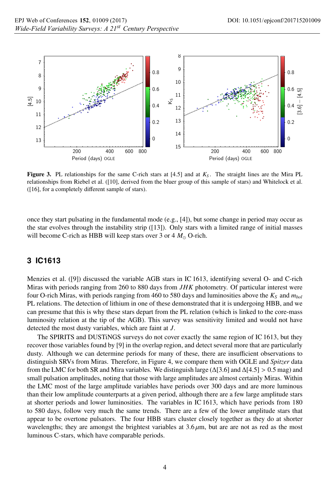

**Figure 3.** PL relationships for the same C-rich stars at  $[4.5]$  and at  $K_s$ . The straight lines are the Mira PL relationships from Riebel et al. ([10], derived from the bluer group of this sample of stars) and Whitelock et al. ([16], for a completely different sample of stars).

once they start pulsating in the fundamental mode (e.g., [4]), but some change in period may occur as the star evolves through the instability strip ([13]). Only stars with a limited range of initial masses will become C-rich as HBB will keep stars over  $3$  or  $4 M_{\odot}$  O-rich.

### **3 IC1613**

Menzies et al. ([9]) discussed the variable AGB stars in IC 1613, identifying several O- and C-rich Miras with periods ranging from 260 to 880 days from *JHK* photometry. Of particular interest were four O-rich Miras, with periods ranging from 460 to 580 days and luminosities above the *KS* and *mbol* PL relations. The detection of lithium in one of these demonstrated that it is undergoing HBB, and we can presume that this is why these stars depart from the PL relation (which is linked to the core-mass luminosity relation at the tip of the AGB). This survey was sensitivity limited and would not have detected the most dusty variables, which are faint at *J*.

The SPIRITS and DUSTiNGS surveys do not cover exactly the same region of IC 1613, but they recover those variables found by [9] in the overlap region, and detect several more that are particularly dusty. Although we can determine periods for many of these, there are insufficient observations to distinguish SRVs from Miras. Therefore, in Figure 4, we compare them with OGLE and *Spitzer* data from the LMC for both SR and Mira variables. We distinguish large ( $\Delta$ [3.6] and  $\Delta$ [4.5] > 0.5 mag) and small pulsation amplitudes, noting that those with large amplitudes are almost certainly Miras. Within the LMC most of the large amplitude variables have periods over 300 days and are more luminous than their low amplitude counterparts at a given period, although there are a few large amplitude stars at shorter periods and lower luminosities. The variables in IC 1613, which have periods from 180 to 580 days, follow very much the same trends. There are a few of the lower amplitude stars that appear to be overtone pulsators. The four HBB stars cluster closely together as they do at shorter wavelengths; they are amongst the brightest variables at 3.6 μm, but are are not as red as the most luminous C-stars, which have comparable periods.